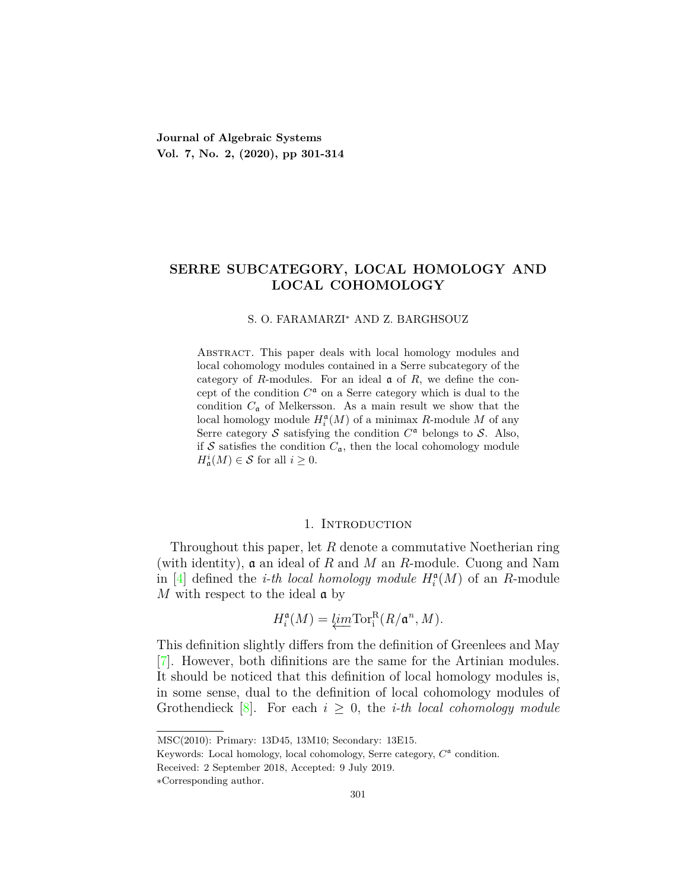**Journal of Algebraic Systems Vol. 7, No. 2, (2020), pp 301-314**

# **SERRE SUBCATEGORY, LOCAL HOMOLOGY AND LOCAL COHOMOLOGY**

#### S. O. FARAMARZI*<sup>∗</sup>* AND Z. BARGHSOUZ

Abstract. This paper deals with local homology modules and local cohomology modules contained in a Serre subcategory of the category of *R*-modules. For an ideal a of *R*, we define the concept of the condition  $C^{\mathfrak{a}}$  on a Serre category which is dual to the condition  $C_{\mathfrak{a}}$  of Melkersson. As a main result we show that the local homology module  $H_i^{\mathfrak{a}}(M)$  of a minimax *R*-module *M* of any Serre category  $S$  satisfying the condition  $C^{\mathfrak{a}}$  belongs to  $S$ . Also, if  $S$  satisfies the condition  $C_{\mathfrak{a}}$ , then the local cohomology module  $H^i_{\mathfrak{a}}(M) \in \mathcal{S}$  for all  $i \geq 0$ .

### 1. Introduction

Throughout this paper, let *R* denote a commutative Noetherian ring (with identity), a an ideal of *R* and *M* an *R*-module. Cuong and Nam in [\[4](#page-13-0)] defined the *i-th local homology module*  $H_i^{\mathfrak{a}}(M)$  of an *R*-module *M* with respect to the ideal **a** by

$$
H_i^{\mathfrak{a}}(M) = \underleftarrow{\lim} \text{Tor}_i^{\text{R}}(R/\mathfrak{a}^n, M).
$$

This definition slightly differs from the definition of Greenlees and May [[7\]](#page-13-1). However, both difinitions are the same for the Artinian modules. It should be noticed that this definition of local homology modules is, in some sense, dual to the definition of local cohomology modules of Grothendieck  $|8|$ . For each  $i \geq 0$ , the *i-th local cohomology module* 

MSC(2010): Primary: 13D45, 13M10; Secondary: 13E15.

Keywords: Local homology, local cohomology, Serre category,  $C^{\mathfrak{a}}$  condition.

Received: 2 September 2018, Accepted: 9 July 2019.

*<sup>∗</sup>*Corresponding author.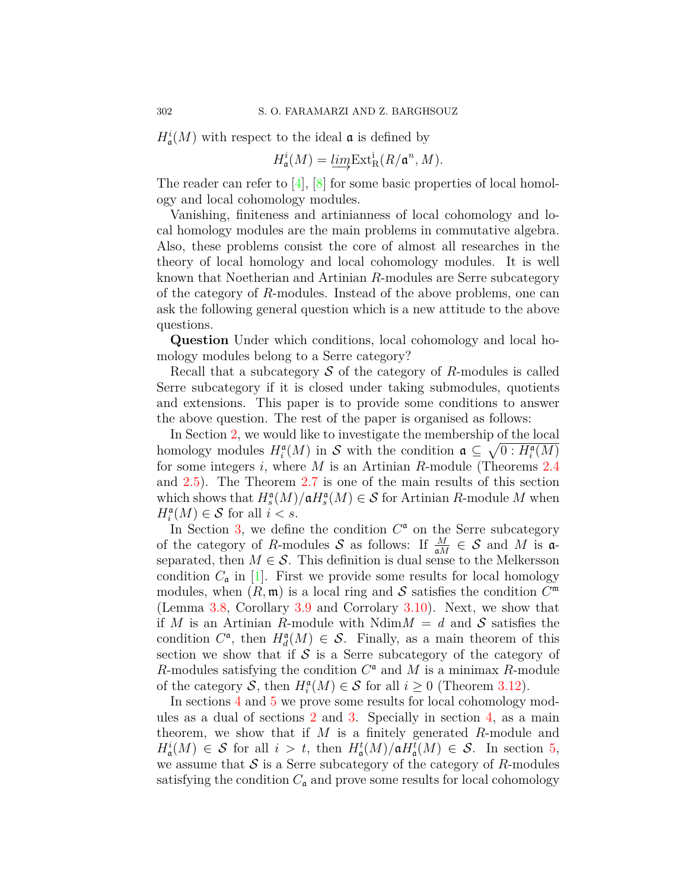$H^i_{\mathfrak{a}}(M)$  with respect to the ideal  $\mathfrak a$  is defined by

$$
H_{\mathfrak{a}}^{i}(M) = \underbrace{\lim}_{\longrightarrow} \operatorname{Ext}_{R}^{i}(R/\mathfrak{a}^{n}, M).
$$

The reader can refer to [\[4](#page-13-0)], [[8](#page-13-2)] for some basic properties of local homology and local cohomology modules.

Vanishing, finiteness and artinianness of local cohomology and local homology modules are the main problems in commutative algebra. Also, these problems consist the core of almost all researches in the theory of local homology and local cohomology modules. It is well known that Noetherian and Artinian *R*-modules are Serre subcategory of the category of *R*-modules. Instead of the above problems, one can ask the following general question which is a new attitude to the above questions.

**Question** Under which conditions, local cohomology and local homology modules belong to a Serre category?

Recall that a subcategory *S* of the category of *R*-modules is called Serre subcategory if it is closed under taking submodules, quotients and extensions. This paper is to provide some conditions to answer the above question. The rest of the paper is organised as follows:

In Section [2](#page-2-0), we would like to investigate the membership of the local homology modules  $H_i^{\mathfrak{a}}(M)$  in *S* with the condition  $\mathfrak{a} \subseteq \sqrt{0 : H_i^{\mathfrak{a}}(M)}$ for some integers *i*, where *M* is an Artinian *R*-module (Theorems [2.4](#page-3-0) and [2.5\)](#page-3-1). The Theorem [2.7](#page-4-0) is one of the main results of this section which shows that  $H_s^{\mathfrak{a}}(M)/\mathfrak{a}H_s^{\mathfrak{a}}(M) \in \mathcal{S}$  for Artinian *R*-module *M* when  $H_i^{\mathfrak{a}}(M) \in \mathcal{S}$  for all  $i < s$ .

In Section  $3$ , we define the condition  $C^a$  on the Serre subcategory of the category of *R*-modules *S* as follows: If  $\frac{M}{\mathfrak{a}M} \in S$  and *M* is  $\mathfrak{a}$ separated, then  $M \in \mathcal{S}$ . This definition is dual sense to the Melkersson condition  $C_{\mathfrak{a}}$  in [\[1](#page-13-3)]. First we provide some results for local homology modules, when  $(R, \mathfrak{m})$  is a local ring and  $S$  satisfies the condition  $C^{\mathfrak{m}}$ (Lemma [3.8,](#page-7-0) Corollary [3.9](#page-7-1) and Corrolary [3.10](#page-7-2)). Next, we show that if *M* is an Artinian *R*-module with  $Ndim M = d$  and *S* satisfies the condition  $C^{\mathfrak{a}}$ , then  $H_d^{\mathfrak{a}}(M) \in \mathcal{S}$ . Finally, as a main theorem of this section we show that if  $S$  is a Serre subcategory of the category of *R*-modules satisfying the condition  $C^{\mathfrak{a}}$  and M is a minimax *R*-module of the category *S*, then  $H_i^{\mathfrak{a}}(M) \in S$  for all  $i \geq 0$  (Theorem [3.12](#page-8-0)).

In sections [4](#page-9-0) and [5](#page-11-0) we prove some results for local cohomology modules as a dual of sections [2](#page-2-0) and [3](#page-5-0). Specially in section [4](#page-9-0), as a main theorem, we show that if *M* is a finitely generated *R*-module and  $H^i_{\mathfrak{a}}(M) \in \mathcal{S}$  for all  $i > t$ , then  $H^t_{\mathfrak{a}}(M)/\mathfrak{a}H^t_{\mathfrak{a}}(M) \in \mathcal{S}$ . In section [5,](#page-11-0) we assume that  $S$  is a Serre subcategory of the category of  $R$ -modules satisfying the condition  $C_{\mathfrak{a}}$  and prove some results for local cohomology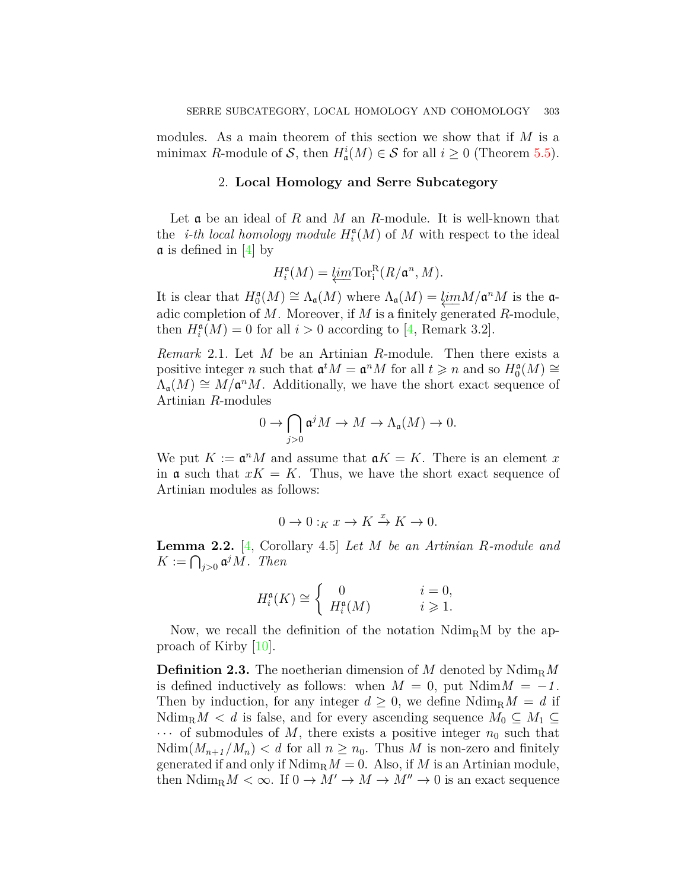modules. As a main theorem of this section we show that if *M* is a minimax *R*-module of *S*, then  $H^i_{\mathfrak{a}}(M) \in S$  for all  $i \geq 0$  (Theorem [5.5](#page-12-0)).

## 2. **Local Homology and Serre Subcategory**

<span id="page-2-0"></span>Let a be an ideal of *R* and *M* an *R*-module. It is well-known that the *i-th local homology module*  $H_i^{\mathfrak{a}}(M)$  of M with respect to the ideal  $\alpha$  is defined in [\[4](#page-13-0)] by

$$
H_i^{\mathfrak{a}}(M) = \underleftarrow{\lim} \text{Tor}_i^{\text{R}}(R/\mathfrak{a}^n, M).
$$

It is clear that  $H_0^{\mathfrak{a}}(M) \cong \Lambda_{\mathfrak{a}}(M)$  where  $\Lambda_{\mathfrak{a}}(M) = \underbrace{\lim_{\alpha} M/\mathfrak{a}^n M}_{\alpha}$  is the  $\mathfrak{a}$ adic completion of *M*. Moreover, if *M* is a finitely generated *R*-module, then  $H_i^{\mathfrak{a}}(M) = 0$  for all  $i > 0$  according to [\[4](#page-13-0), Remark 3.2].

<span id="page-2-2"></span>*Remark* 2.1*.* Let *M* be an Artinian *R*-module. Then there exists a positive integer *n* such that  $\mathfrak{a}^t M = \mathfrak{a}^n M$  for all  $t \geq n$  and so  $H_0^{\mathfrak{a}}(M) \cong$  $\Lambda_{\mathfrak{a}}(M) \cong M/\mathfrak{a}^n M$ . Additionally, we have the short exact sequence of Artinian *R*-modules

$$
0 \to \bigcap_{j>0} \mathfrak{a}^j M \to M \to \Lambda_{\mathfrak{a}}(M) \to 0.
$$

We put  $K := \mathfrak{a}^n M$  and assume that  $\mathfrak{a} K = K$ . There is an element x in  $\mathfrak{a}$  such that  $xK = K$ . Thus, we have the short exact sequence of Artinian modules as follows:

$$
0 \to 0 :_K x \to K \xrightarrow{x} K \to 0.
$$

<span id="page-2-1"></span>**Lemma 2.2.** [\[4](#page-13-0), Corollary 4.5] *Let M be an Artinian R-module and*  $K := \bigcap_{j>0} \mathfrak{a}^j M$ *. Then* 

$$
H_i^{\mathfrak{a}}(K) \cong \begin{cases} 0 & i = 0, \\ H_i^{\mathfrak{a}}(M) & i \geqslant 1. \end{cases}
$$

Now, we recall the definition of the notation  $N \text{dim}_{\text{R}} M$  by the approach of Kirby [\[10](#page-13-4)].

**Definition 2.3.** The noetherian dimension of *M* denoted by Ndim<sub>R</sub>*M* is defined inductively as follows: when  $M = 0$ , put  $N \text{dim} M = -1$ . Then by induction, for any integer  $d \geq 0$ , we define  $\text{Ndim}_{\text{R}} M = d$  if  $Ndim_R M < d$  is false, and for every ascending sequence  $M_0 \subseteq M_1 \subseteq$  $\cdots$  of submodules of M, there exists a positive integer  $n_0$  such that  $\text{Ndim}(M_{n+1}/M_n) < d$  for all  $n \geq n_0$ . Thus *M* is non-zero and finitely generated if and only if  $\text{Ndim}_{\text{R}}M = 0$ . Also, if M is an Artinian module, then  $\text{Ndim}_{\text{R}} M < \infty$ . If  $0 \to M' \to M \to M'' \to 0$  is an exact sequence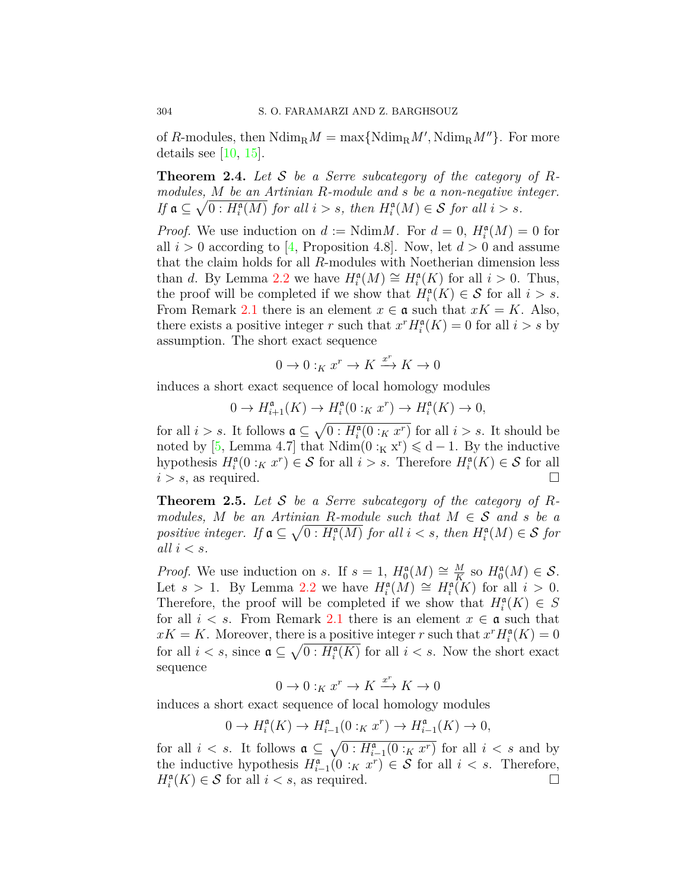of *R*-modules, then  $\text{Ndim}_{\text{R}}M = \max\{\text{Ndim}_{\text{R}}M', \text{Ndim}_{\text{R}}M''\}$ . For more details see  $[10, 15]$  $[10, 15]$  $[10, 15]$  $[10, 15]$  $[10, 15]$ .

<span id="page-3-0"></span>**Theorem 2.4.** *Let S be a Serre subcategory of the category of Rmodules, M be an Artinian R-module and s be a non-negative integer. If*  $\mathfrak{a} \subseteq \sqrt{0 : H_i^{\mathfrak{a}}(M)}$  *for all*  $i > s$ *, then*  $H_i^{\mathfrak{a}}(M) \in \mathcal{S}$  *for all*  $i > s$ *.* 

*Proof.* We use induction on  $d := \text{Ndim} M$ . For  $d = 0$ ,  $H_i^{\mathfrak{a}}(M) = 0$  for all  $i > 0$  according to [\[4](#page-13-0), Proposition 4.8]. Now, let  $d > 0$  and assume that the claim holds for all *R*-modules with Noetherian dimension less than *d*. By Lemma [2.2](#page-2-1) we have  $H_i^{\mathfrak{a}}(M) \cong H_i^{\mathfrak{a}}(K)$  for all  $i > 0$ . Thus, the proof will be completed if we show that  $H_i^{\mathfrak{a}}(K) \in \mathcal{S}$  for all  $i > s$ . From Remark [2.1](#page-2-2) there is an element  $x \in \mathfrak{a}$  such that  $xK = K$ . Also, there exists a positive integer *r* such that  $x^r H_i^{\mathfrak{a}}(K) = 0$  for all  $i > s$  by assumption. The short exact sequence

$$
0\to 0:_Kx^r\to K\xrightarrow{x^r} K\to 0
$$

induces a short exact sequence of local homology modules

$$
0 \to H_{i+1}^{\mathfrak{a}}(K) \to H_i^{\mathfrak{a}}(0:_K x^r) \to H_i^{\mathfrak{a}}(K) \to 0,
$$

for all  $i > s$ . It follows  $\mathfrak{a} \subseteq \sqrt{0 : H_i^{\mathfrak{a}}(0 :_K x^r)}$  for all  $i > s$ . It should be noted by [\[5,](#page-13-6) Lemma 4.7] that  $Ndim(0:_{K} x^{r}) \leq d-1$ . By the inductive hypothesis  $H_i^{\mathfrak{a}}(0:_{K} x^r) \in \mathcal{S}$  for all  $i > s$ . Therefore  $H_i^{\mathfrak{a}}(K) \in \mathcal{S}$  for all  $i > s$ , as required.

<span id="page-3-1"></span>**Theorem 2.5.** *Let S be a Serre subcategory of the category of Rmodules, M be an Artinian R-module such that*  $M \in S$  *and s be a positive integer.* If  $a \subseteq \sqrt{0 : H_i^{\mathfrak{a}}(M)}$  for all  $i < s$ , then  $H_i^{\mathfrak{a}}(M) \in \mathcal{S}$  for *all*  $i < s$ *.* 

*Proof.* We use induction on *s*. If  $s = 1$ ,  $H_0^{\mathfrak{a}}(M) \cong \frac{M}{K}$  $\frac{M}{K}$  so  $H_0^{\mathfrak{a}}(M) \in \mathcal{S}$ . Let *s* > 1. By Lemma [2.2](#page-2-1) we have  $H_i^{\mathfrak{a}}(M) \cong H_i^{\mathfrak{a}}(K)$  for all  $i > 0$ . Therefore, the proof will be completed if we show that  $H_i^{\mathfrak{a}}(K) \in S$ for all  $i < s$ . From Remark [2.1](#page-2-2) there is an element  $x \in \mathfrak{a}$  such that  $xK = K$ . Moreover, there is a positive integer *r* such that  $x^r H_i^{\mathfrak{a}}(K) = 0$ for all  $i < s$ , since  $\mathfrak{a} \subseteq \sqrt{0 : H_i^{\mathfrak{a}}(K)}$  for all  $i < s$ . Now the short exact sequence

$$
0 \to 0:_{K} x^{r} \to K \xrightarrow{x^{r}} K \to 0
$$

induces a short exact sequence of local homology modules

$$
0 \to H_i^{\mathfrak{a}}(K) \to H_{i-1}^{\mathfrak{a}}(0:_{K} x^{r}) \to H_{i-1}^{\mathfrak{a}}(K) \to 0,
$$

for all  $i < s$ . It follows  $\mathfrak{a} \subseteq \sqrt{0 : H_{i-1}^{\mathfrak{a}}(0 :_K x^r)}$  for all  $i < s$  and by the inductive hypothesis  $H_{i-1}^{\mathfrak{a}}(0 :_{K} x^{r}) \in S$  for all  $i < s$ . Therefore,  $H_i^{\mathfrak{a}}(K) \in \mathcal{S}$  for all  $i < s$ , as required. □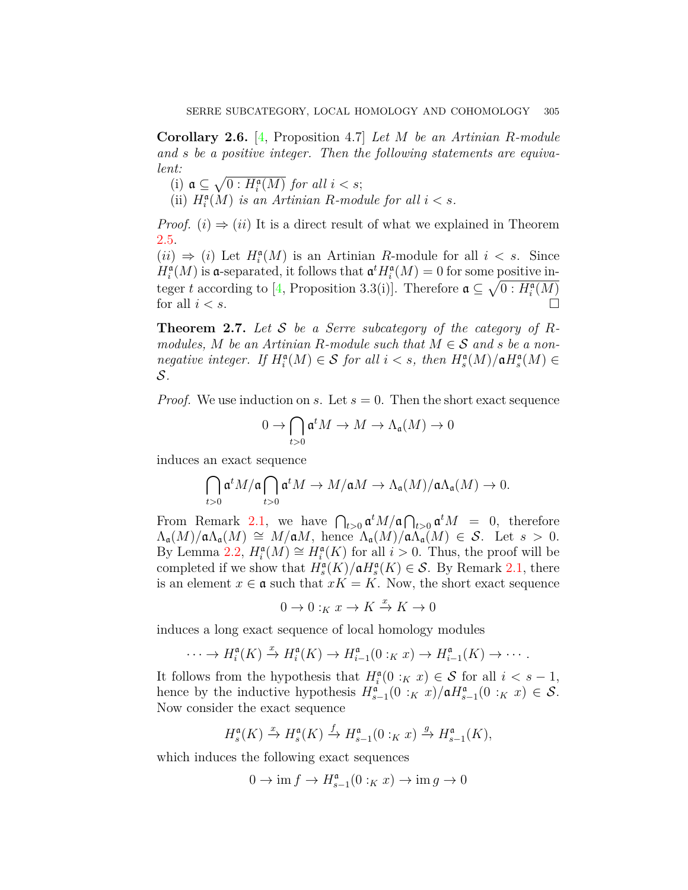**Corollary 2.6.** [[4](#page-13-0), Proposition 4.7] *Let M be an Artinian R-module and s be a positive integer. Then the following statements are equivalent:*

- (i)  $\mathfrak{a} \subseteq \sqrt{0: H_i^{\mathfrak{a}}(M)}$  *for all*  $i < s$ ;
- (ii)  $H_i^{\mathfrak{a}}(M)$  *is an Artinian R-module for all*  $i < s$ *.*

*Proof.* (*i*)  $\Rightarrow$  (*ii*) It is a direct result of what we explained in Theorem [2.5](#page-3-1).

 $(ii) \Rightarrow (i)$  Let  $H_i^{\mathfrak{a}}(M)$  is an Artinian *R*-module for all  $i < s$ . Since  $H_i^{\mathfrak{a}}(M)$  is a-separated, it follows that  $\mathfrak{a}^t H_i^{\mathfrak{a}}(M) = 0$  for some positive integer *t* according to [\[4](#page-13-0), Proposition 3.3(i)]. Therefore  $\mathfrak{a} \subseteq \sqrt{0:H_i^{\mathfrak{a}}(M)}$ for all  $i < s$ .

<span id="page-4-0"></span>**Theorem 2.7.** *Let S be a Serre subcategory of the category of Rmodules,*  $M$  *be an Artinian R-module such that*  $M \in S$  *and*  $s$  *be a nonnegative integer.* If  $H_i^{\mathfrak{a}}(M) \in S$  *for all*  $i < s$ *, then*  $H_s^{\mathfrak{a}}(M)/\mathfrak{a}H_s^{\mathfrak{a}}(M) \in$ *S.*

*Proof.* We use induction on *s*. Let  $s = 0$ . Then the short exact sequence

$$
0\to \bigcap_{t>0}\mathfrak{a}^tM\to M\to \Lambda_{\mathfrak{a}}(M)\to 0
$$

induces an exact sequence

$$
\bigcap_{t>0} \mathfrak{a}^t M/\mathfrak{a} \bigcap_{t>0} \mathfrak{a}^t M \rightarrow M/\mathfrak{a} M \rightarrow \Lambda_{\mathfrak{a}}(M)/\mathfrak{a} \Lambda_{\mathfrak{a}}(M) \rightarrow 0.
$$

From Remark [2.1](#page-2-2), we have  $\bigcap_{t>0} \mathfrak{a}^t M/\mathfrak{a} \bigcap_{t>0} \mathfrak{a}^t M = 0$ , therefore  $\Lambda_{\mathfrak{a}}(M)/\mathfrak{a}\Lambda_{\mathfrak{a}}(M) \cong M/\mathfrak{a}M$ , hence  $\Lambda_{\mathfrak{a}}(M)/\mathfrak{a}\Lambda_{\mathfrak{a}}(M) \in \mathcal{S}$ . Let  $s > 0$ . By Lemma [2.2](#page-2-1),  $H_i^{\mathfrak{a}}(M) \cong H_i^{\mathfrak{a}}(K)$  for all  $i > 0$ . Thus, the proof will be completed if we show that  $H_s^{\mathfrak{a}}(K)/\mathfrak{a}H_s^{\mathfrak{a}}(K) \in \mathcal{S}$ . By Remark [2.1](#page-2-2), there is an element  $x \in \mathfrak{a}$  such that  $xK = K$ . Now, the short exact sequence

$$
0\to 0:_Kx\to K\xrightarrow{x} K\to 0
$$

induces a long exact sequence of local homology modules

$$
\cdots \to H_i^{\mathfrak{a}}(K) \xrightarrow{x} H_i^{\mathfrak{a}}(K) \to H_{i-1}^{\mathfrak{a}}(0:_{K} x) \to H_{i-1}^{\mathfrak{a}}(K) \to \cdots.
$$

It follows from the hypothesis that  $H_i^{\mathfrak{a}}(0 :_K x) \in S$  for all  $i < s - 1$ , hence by the inductive hypothesis  $H_{s-1}^{\mathfrak{a}}(0 :_{K} x)/\mathfrak{a}H_{s-1}^{\mathfrak{a}}(0 :_{K} x) \in \mathcal{S}$ . Now consider the exact sequence

$$
H_s^{\mathfrak{a}}(K) \xrightarrow{x} H_s^{\mathfrak{a}}(K) \xrightarrow{f} H_{s-1}^{\mathfrak{a}}(0:_K x) \xrightarrow{g} H_{s-1}^{\mathfrak{a}}(K),
$$

which induces the following exact sequences

$$
0 \to \operatorname{im} f \to H^{\mathfrak{a}}_{s-1}(0 :_K x) \to \operatorname{im} g \to 0
$$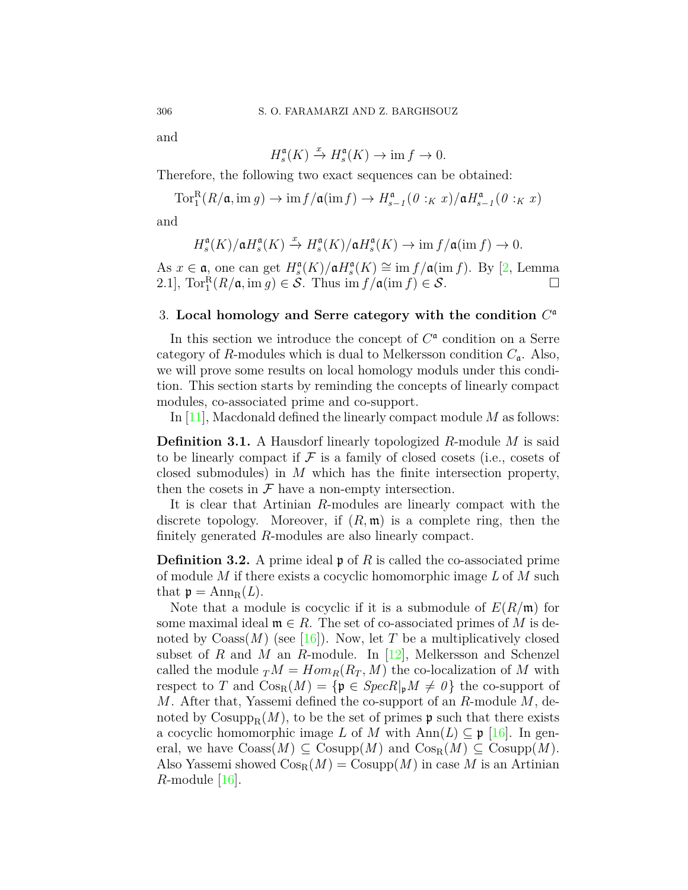and

$$
H_s^{\mathfrak{a}}(K) \xrightarrow{x} H_s^{\mathfrak{a}}(K) \to \text{im } f \to 0.
$$

Therefore, the following two exact sequences can be obtained:

$$
\operatorname{Tor}^R_1(R/\mathfrak{a},\mathrm{im} g)\to \mathrm{im} f/\mathfrak{a}(\mathrm{im} f)\to H^\mathfrak{a}_{s-1}(\theta:_K x)/\mathfrak{a}H^\mathfrak{a}_{s-1}(\theta:_K x)
$$

and

$$
H_s^{\mathfrak{a}}(K)/\mathfrak{a}H_s^{\mathfrak{a}}(K) \xrightarrow{x} H_s^{\mathfrak{a}}(K)/\mathfrak{a}H_s^{\mathfrak{a}}(K) \to \text{im } f/\mathfrak{a}(\text{im } f) \to 0.
$$

As  $x \in \mathfrak{a}$ , one can get  $H_s^{\mathfrak{a}}(K)/\mathfrak{a}H_s^{\mathfrak{a}}(K) \cong \text{im } f/\mathfrak{a}(\text{im } f)$ . By [\[2](#page-13-7), Lemma 2.1],  $\operatorname{Tor}_1^R(R/\mathfrak{a}, \operatorname{im} g) \in \mathcal{S}$ . Thus  $\operatorname{im} f/\mathfrak{a}(\operatorname{im} f) \in \mathcal{S}$ .  $\Box$ 

# <span id="page-5-0"></span>3. **Local homology and Serre category with the condition** *C* a

In this section we introduce the concept of  $C^{\mathfrak{a}}$  condition on a Serre category of *R*-modules which is dual to Melkersson condition *C*a. Also, we will prove some results on local homology moduls under this condition. This section starts by reminding the concepts of linearly compact modules, co-associated prime and co-support.

In [\[11\]](#page-13-8), Macdonald defined the linearly compact module *M* as follows:

**Definition 3.1.** A Hausdorf linearly topologized *R*-module *M* is said to be linearly compact if  $\mathcal F$  is a family of closed cosets (i.e., cosets of closed submodules) in *M* which has the finite intersection property, then the cosets in  $\mathcal F$  have a non-empty intersection.

It is clear that Artinian *R*-modules are linearly compact with the discrete topology. Moreover, if  $(R, \mathfrak{m})$  is a complete ring, then the finitely generated *R*-modules are also linearly compact.

**Definition 3.2.** A prime ideal **p** of R is called the co-associated prime of module *M* if there exists a cocyclic homomorphic image *L* of *M* such that  $\mathfrak{p} = \text{Ann}_{R}(L)$ .

Note that a module is cocyclic if it is a submodule of *E*(*R/*m) for some maximal ideal  $\mathfrak{m} \in R$ . The set of co-associated primes of *M* is denoted by  $\text{Coass}(M)$  (see [\[16\]](#page-13-9)). Now, let T be a multiplicatively closed subset of *R* and *M* an *R*-module. In [[12\]](#page-13-10), Melkersson and Schenzel called the module  $T M = Hom_R(R_T, M)$  the co-localization of M with respect to *T* and  $\text{Cos}_{R}(M) = {\mathfrak{p} \in \text{Spec } R|_{p}M \neq 0}$  the co-support of *M*. After that, Yassemi defined the co-support of an *R*-module *M*, denoted by  $\mathrm{Cosupp}_{R}(M)$ , to be the set of primes p such that there exists a cocyclic homomorphic image *L* of *M* with  $\text{Ann}(L) \subseteq \mathfrak{p}$  [[16\]](#page-13-9). In general, we have  $\text{Coass}(M) \subseteq \text{Cosupp}(M)$  and  $\text{Cos}_{R}(M) \subseteq \text{Cosupp}(M)$ . Also Yassemi showed  $\text{Cos}_{R}(M) = \text{Cosupp}(M)$  in case M is an Artinian *R*-module[[16\]](#page-13-9).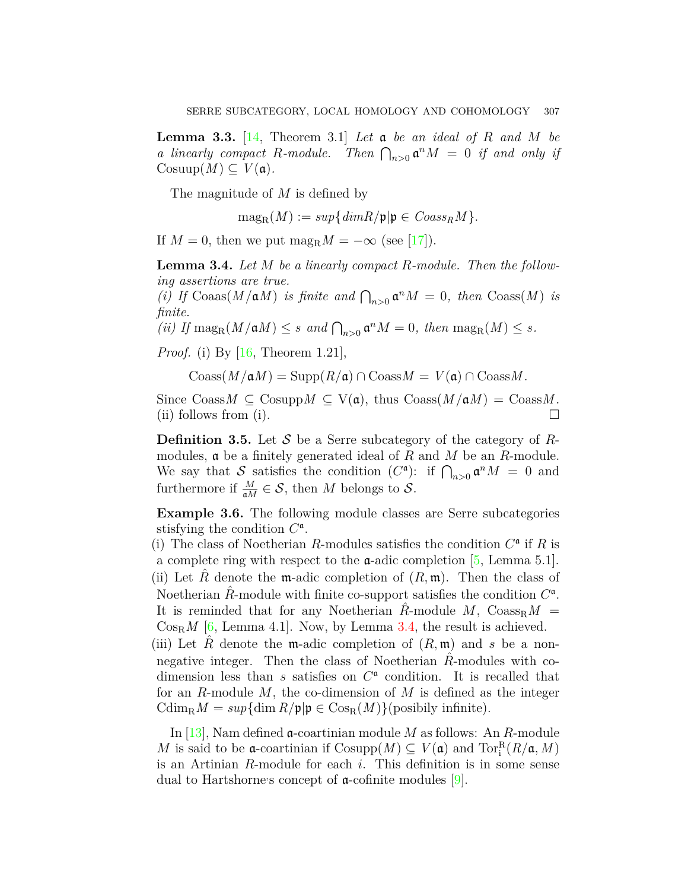**Lemma 3.3.** [\[14,](#page-13-11) Theorem 3.1] *Let* a *be an ideal of R and M be a linearly compact R*-module. Then  $\bigcap_{n>0} \mathfrak{a}^n M = 0$  if and only if  $\text{Cosuup}(M) \subseteq V(\mathfrak{a})$ .

The magnitude of *M* is defined by

$$
\mathrm{mag}_{R}(M) := sup\{\dim R/\mathfrak{p}|\mathfrak{p} \in \mathit{Coass}_{R}M\}.
$$

If  $M = 0$ , then we put  $\text{mag}_{R}M = -\infty$  (see [\[17\]](#page-13-12)).

<span id="page-6-0"></span>**Lemma 3.4.** *Let M be a linearly compact R-module. Then the following assertions are true.*

*(i)* If  $\text{Coaas}(M/\mathfrak{a}M)$  *is finite and*  $\bigcap_{n>0} \mathfrak{a}^n M = 0$ *, then*  $\text{Coass}(M)$  *is finite.*

 $(iii)$  If  $\max_{R} (M/\mathfrak{a}M) \leq s$  and  $\bigcap_{n>0} \mathfrak{a}^n M = 0$ , then  $\max_{R} (M) \leq s$ .

*Proof.* (i) By [\[16,](#page-13-9) Theorem 1.21],

 $\text{Coass}(M/\mathfrak{a}M) = \text{Supp}(R/\mathfrak{a}) \cap \text{Coass}M = V(\mathfrak{a}) \cap \text{Coass}M$ .

Since  $\text{Coass}M \subseteq \text{Cosupp}M \subseteq \text{V}(\mathfrak{a})$ , thus  $\text{Coass}(M/\mathfrak{a}M) = \text{Coass}M$ . (ii) follows from (i).  $\Box$ 

**Definition 3.5.** Let *S* be a Serre subcategory of the category of *R*modules, a be a finitely generated ideal of *R* and *M* be an *R*-module. We say that *S* satisfies the condition  $(C^{\mathfrak{a}})$ : if  $\bigcap_{n>0} \mathfrak{a}^n M = 0$  and furthermore if  $\frac{M}{aM} \in \mathcal{S}$ , then *M* belongs to  $\mathcal{S}$ .

<span id="page-6-1"></span>**Example 3.6.** The following module classes are Serre subcategories stisfying the condition  $C^{\mathfrak{a}}$ .

(i) The class of Noetherian *R*-modules satisfies the condition  $C^{\mathfrak{a}}$  if *R* is a complete ring with respect to the  $\alpha$ -adic completion [[5](#page-13-6), Lemma 5.1]. (ii) Let  $\tilde{R}$  denote the m-adic completion of  $(R, \mathfrak{m})$ . Then the class of Noetherian  $\hat{R}$ -module with finite co-support satisfies the condition  $C^{\mathfrak{a}}$ . It is reminded that for any Noetherian *R*-module *M*,  $\text{Coass}_{R}M$  =  $\cos_R M$  [[6,](#page-13-13) Lemma 4.1]. Now, by Lemma [3.4](#page-6-0), the result is achieved. (iii) Let *R* denote the **m**-adic completion of  $(R, \mathfrak{m})$  and *s* be a nonnegative integer. Then the class of Noetherian  $\hat{R}$ -modules with codimension less than  $s$  satisfies on  $C^{\mathfrak{a}}$  condition. It is recalled that for an *R*-module *M*, the co-dimension of *M* is defined as the integer  $\operatorname{Cdim}_{\text{R}} M = \sup \{ \dim R / \mathfrak{p} | \mathfrak{p} \in \operatorname{Cos}_{\text{R}}(M) \}$  (posibily infinite).

In [\[13\]](#page-13-14), Nam defined a-coartinian module *M* as follows: An *R*-module *M* is said to be **a**-coartinian if  $\text{Cosupp}(M) \subseteq V(\mathfrak{a})$  and  $\text{Tor}_{i}^{R}(R/\mathfrak{a}, M)$ is an Artinian *R*-module for each *i*. This definition is in some sense dual to Hartshorne's concept of  $\alpha$ -cofinite modules [\[9](#page-13-15)].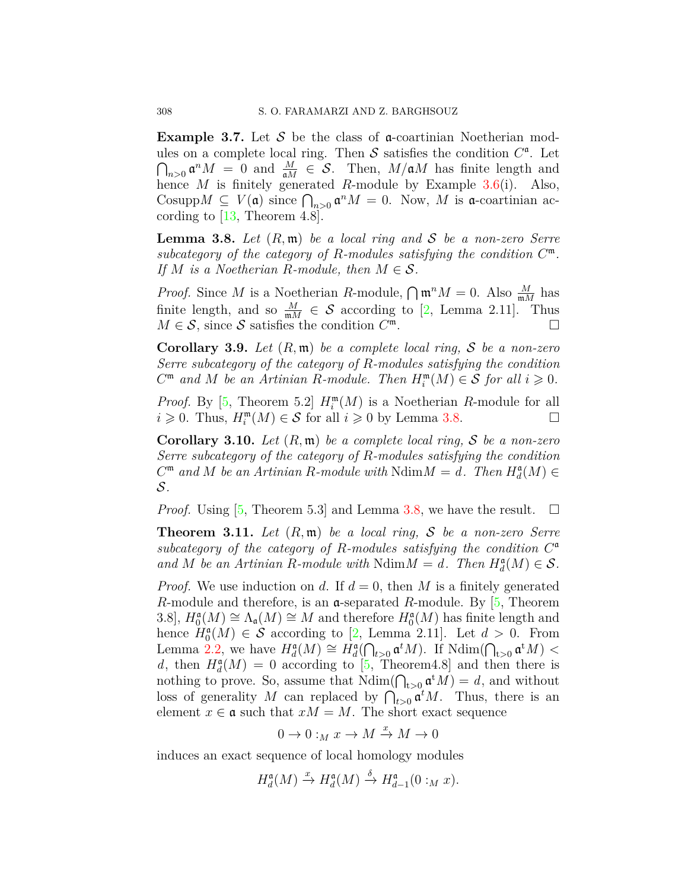**Example 3.7.** Let S be the class of **a**-coartinian Noetherian modules on a complete local ring. Then  $S$  satisfies the condition  $C^{\mathfrak{a}}$ . Let  $\bigcap_{n>0}$   $\mathfrak{a}^n M = 0$  and  $\frac{M}{\mathfrak{a}M} \in \mathcal{S}$ . Then,  $M/\mathfrak{a}M$  has finite length and hence *M* is finitely generated *R*-module by Example [3.6\(](#page-6-1)i). Also, Cosupp $M \subseteq V(\mathfrak{a})$  since  $\bigcap_{n>0} \mathfrak{a}^n M = 0$ . Now, M is  $\mathfrak{a}$ -coartinian according to  $[13,$  $[13,$  $[13,$  Theorem 4.8].

<span id="page-7-0"></span>**Lemma 3.8.** *Let* (*R,* m) *be a local ring and S be a non-zero Serre subcategory of the category of R-modules satisfying the condition C* m*. If M is a Noetherian R-module, then*  $M \in \mathcal{S}$ *.* 

*Proof.* Since *M* is a Noetherian *R*-module,  $\bigcap \mathfrak{m}^n M = 0$ . Also  $\frac{M}{mM}$  has finite length, and so  $\frac{M}{mM} \in \mathcal{S}$  according to [[2,](#page-13-7) Lemma 2.11]. Thus  $M \in \mathcal{S}$ , since  $\mathcal{S}$  satisfies the condition  $C^{\mathfrak{m}}$ .

<span id="page-7-1"></span>**Corollary 3.9.** *Let* (*R,* m) *be a complete local ring, S be a non-zero Serre subcategory of the category of R-modules satisfying the condition*  $C^{\mathfrak{m}}$  *and*  $M$  *be an Artinian R-module. Then*  $H_i^{\mathfrak{m}}(M) \in S$  *for all*  $i \geq 0$ *.* 

*Proof.* By [[5](#page-13-6), Theorem 5.2]  $H_i^m(M)$  is a Noetherian *R*-module for all *i* ≥ 0. Thus,  $H_i^m(M) \in S$  for all *i* ≥ 0 by Lemma [3.8](#page-7-0). □

<span id="page-7-2"></span>**Corollary 3.10.** *Let* (*R,* m) *be a complete local ring, S be a non-zero Serre subcategory of the category of R-modules satisfying the condition*  $C^{\mathfrak{m}}$  *and*  $M$  *be an Artinian*  $R$ *-module with*  $Ndim M = d$ *. Then*  $H_d^{\mathfrak{a}}(M) \in$ *S.*

*Proof.* Using [\[5](#page-13-6), Theorem 5.3] and Lemma [3.8](#page-7-0), we have the result.  $\square$ 

**Theorem 3.11.** *Let* (*R,* m) *be a local ring, S be a non-zero Serre subcategory of the category of R-modules satisfying the condition C* a *and M be an Artinian R-module with* Ndim $M = d$ *. Then*  $H_d^{\mathfrak{a}}(M) \in \mathcal{S}$ *.* 

*Proof.* We use induction on *d*. If  $d = 0$ , then *M* is a finitely generated *R*-module and therefore, is an a-separated *R*-module. By [[5,](#page-13-6) Theorem 3.8,  $H_0^{\mathfrak{a}}(M) \cong \Lambda_{\mathfrak{a}}(M) \cong M$  and therefore  $H_0^{\mathfrak{a}}(M)$  has finite length and hence  $H_0^{\mathfrak{a}}(M) \in \mathcal{S}$  according to [[2](#page-13-7), Lemma 2.11]. Let  $d > 0$ . From Lemma [2.2,](#page-2-1) we have  $H_d^{\mathfrak{a}}(M) \cong H_d^{\mathfrak{a}}(\bigcap_{t>0} \mathfrak{a}^t M)$ . If  $\text{Ndim}(\bigcap_{t>0} \mathfrak{a}^t M)$  < d, then  $H_d^{\mathfrak{a}}(M) = 0$  according to [[5,](#page-13-6) Theorem4.8] and then there is nothing to prove. So, assume that  $\text{Ndim}(\bigcap_{t>0} \mathfrak{a}^t M) = d$ , and without loss of generality *M* can replaced by  $\bigcap_{t>0} \mathfrak{a}^t M$ . Thus, there is an element  $x \in \mathfrak{a}$  such that  $xM = M$ . The short exact sequence

 $0 \to 0 :_M x \to M \xrightarrow{x} M \to 0$ 

induces an exact sequence of local homology modules

$$
H_d^{\mathfrak{a}}(M) \xrightarrow{x} H_d^{\mathfrak{a}}(M) \xrightarrow{\delta} H_{d-1}^{\mathfrak{a}}(0:_{M} x).
$$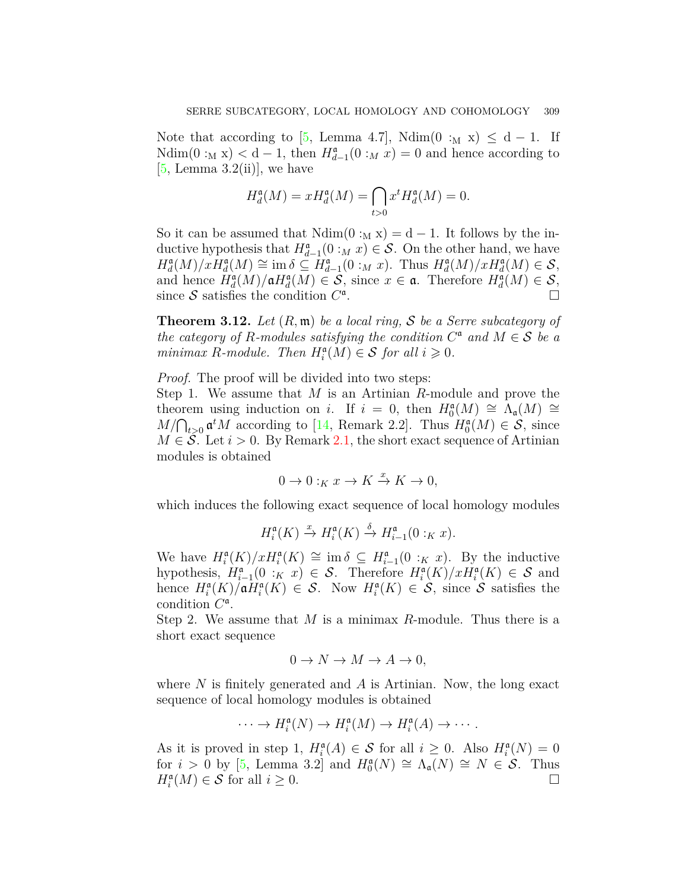Note that according to [\[5](#page-13-6), Lemma 4.7], Ndim(0 :<sub>M</sub> x)  $\leq d-1$ . If Ndim(0 :<sub>M</sub> **x**) < d − 1, then  $H_{d-1}^{\mathfrak{a}}(0 :_M x) = 0$  and hence according to  $[5, Lemma 3.2(ii)]$  $[5, Lemma 3.2(ii)]$  $[5, Lemma 3.2(ii)]$ , we have

$$
H_d^{\mathfrak{a}}(M) = x H_d^{\mathfrak{a}}(M) = \bigcap_{t>0} x^t H_d^{\mathfrak{a}}(M) = 0.
$$

So it can be assumed that  $Ndim(0 :_M x) = d - 1$ . It follows by the inductive hypothesis that  $H_{d-1}^{\mathfrak{a}}(0: M x) \in S$ . On the other hand, we have  $H_d^{\mathfrak{a}}(M)/xH_d^{\mathfrak{a}}(M) \cong \text{im } \delta \subseteq H_{d-1}^{\mathfrak{a}}(0:_{M}x)$ . Thus  $H_d^{\mathfrak{a}}(M)/xH_d^{\mathfrak{a}}(M) \in \mathcal{S}$ , and hence  $H_d^{\mathfrak{a}}(M)/\mathfrak{a}H_d^{\mathfrak{a}}(M) \in \mathcal{S}$ , since  $x \in \mathfrak{a}$ . Therefore  $H_d^{\mathfrak{a}}(M) \in \mathcal{S}$ , since  $S$  satisfies the condition  $C^{\mathfrak{a}}$ . □

<span id="page-8-0"></span>**Theorem 3.12.** *Let* (*R,* m) *be a local ring, S be a Serre subcategory of the category of R-modules satisfying the condition*  $C^{\mathfrak{a}}$  *and*  $M \in S$  *be a minimax R-module. Then*  $H_i^{\mathfrak{a}}(M) \in S$  *for all*  $i \geq 0$ *.* 

*Proof.* The proof will be divided into two steps:

Step 1. We assume that *M* is an Artinian *R*-module and prove the theorem using induction on *i*. If  $i = 0$ , then  $H_0^{\mathfrak{a}}(M) \cong \Lambda_{\mathfrak{a}}(M) \cong$  $M/\bigcap_{t>0} \mathfrak{a}^t M$  according to [[14](#page-13-11), Remark 2.2]. Thus  $H_0^{\mathfrak{a}}(M) \in \mathcal{S}$ , since  $M \in \mathcal{S}$ . Let  $i > 0$ . By Remark [2.1](#page-2-2), the short exact sequence of Artinian modules is obtained

$$
0 \to 0 :_K x \to K \xrightarrow{x} K \to 0,
$$

which induces the following exact sequence of local homology modules

$$
H_i^{\mathfrak{a}}(K) \xrightarrow{x} H_i^{\mathfrak{a}}(K) \xrightarrow{\delta} H_{i-1}^{\mathfrak{a}}(0:_K x).
$$

We have  $H_i^{\mathfrak{a}}(K)/xH_i^{\mathfrak{a}}(K) \cong \text{im } \delta \subseteq H_{i-1}^{\mathfrak{a}}(0:_K x)$ . By the inductive hypothesis,  $H_{i-1}^{\mathfrak{a}}(0 : K | x) \in S$ . Therefore  $H_{i}^{\mathfrak{a}}(K)/xH_{i}^{\mathfrak{a}}(K) \in S$  and hence  $H_i^{\mathfrak{a}}(K)/\mathfrak{a}H_i^{\mathfrak{a}}(K) \in \mathcal{S}$ . Now  $H_i^{\mathfrak{a}}(K) \in \mathcal{S}$ , since  $\mathcal{S}$  satisfies the condition *C* a .

Step 2. We assume that *M* is a minimax *R*-module. Thus there is a short exact sequence

$$
0 \to N \to M \to A \to 0,
$$

where *N* is finitely generated and *A* is Artinian. Now, the long exact sequence of local homology modules is obtained

$$
\cdots \to H_i^{\mathfrak{a}}(N) \to H_i^{\mathfrak{a}}(M) \to H_i^{\mathfrak{a}}(A) \to \cdots.
$$

As it is proved in step 1,  $H_i^{\mathfrak{a}}(A) \in \mathcal{S}$  for all  $i \geq 0$ . Also  $H_i^{\mathfrak{a}}(N) = 0$ for  $i > 0$  by [\[5](#page-13-6), Lemma 3.2] and  $H_0^{\mathfrak{a}}(N) \cong \Lambda_{\mathfrak{a}}(N) \cong N \in \mathcal{S}$ . Thus  $H_i^{\mathfrak{a}}(M) \in \mathcal{S}$  for all  $i \geq 0$ . □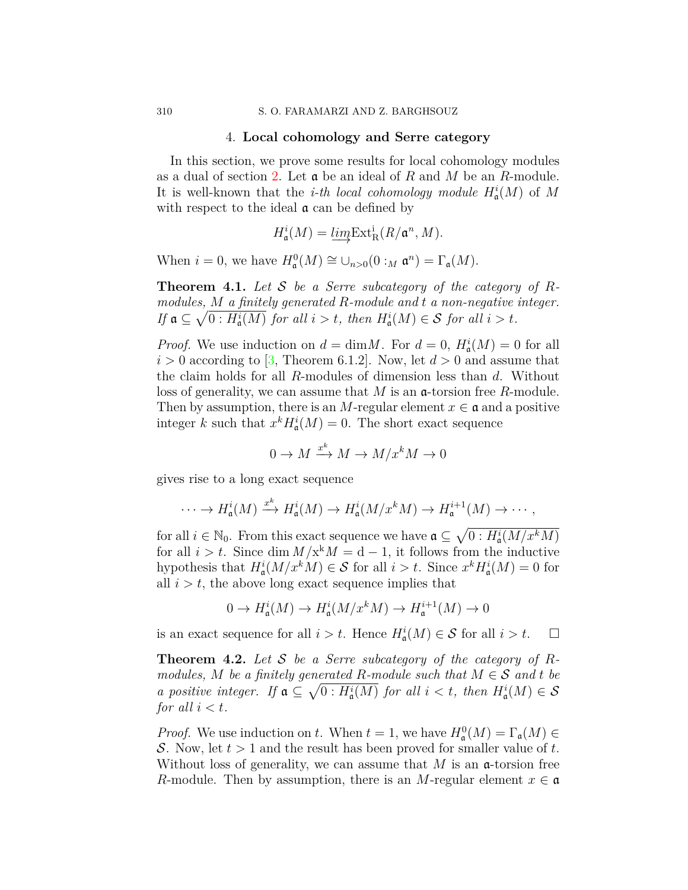### 4. **Local cohomology and Serre category**

<span id="page-9-0"></span>In this section, we prove some results for local cohomology modules as a dual of section [2](#page-2-0). Let a be an ideal of *R* and *M* be an *R*-module. It is well-known that the *i-th local cohomology module*  $H^i_{\mathfrak{a}}(M)$  of M with respect to the ideal  $\alpha$  can be defined by

$$
H_{\mathfrak{a}}^{i}(M) = \underbrace{\lim_{\longrightarrow} \mathrm{Ext}_{\mathrm{R}}^{i}(R/\mathfrak{a}^{n}, M)}.
$$

When  $i = 0$ , we have  $H^0_\mathfrak{a}(M) \cong \bigcup_{n>0} (0 :_M \mathfrak{a}^n) = \Gamma_\mathfrak{a}(M)$ .

**Theorem 4.1.** *Let S be a Serre subcategory of the category of Rmodules, M a finitely generated R-module and t a non-negative integer. If*  $\mathfrak{a} \subseteq \sqrt{0 : H_{\mathfrak{a}}^{i}(M)}$  *for all*  $i > t$ *, then*  $H_{\mathfrak{a}}^{i}(M) \in \mathcal{S}$  *for all*  $i > t$ *.* 

*Proof.* We use induction on  $d = \dim M$ . For  $d = 0$ ,  $H^i_{\mathfrak{a}}(M) = 0$  for all  $i > 0$  according to [[3](#page-13-16), Theorem 6.1.2]. Now, let  $d > 0$  and assume that the claim holds for all *R*-modules of dimension less than *d*. Without loss of generality, we can assume that *M* is an a-torsion free *R*-module. Then by assumption, there is an *M*-regular element  $x \in \mathfrak{a}$  and a positive integer *k* such that  $x^k H^i_{\mathfrak{a}}(M) = 0$ . The short exact sequence

$$
0 \to M \xrightarrow{x^k} M \to M/x^k M \to 0
$$

gives rise to a long exact sequence

$$
\cdots \to H^i_{\mathfrak{a}}(M) \xrightarrow{x^k} H^i_{\mathfrak{a}}(M) \to H^i_{\mathfrak{a}}(M/x^kM) \to H^{i+1}_{\mathfrak{a}}(M) \to \cdots,
$$

for all  $i \in \mathbb{N}_0$ . From this exact sequence we have  $\mathfrak{a} \subseteq \sqrt{0 : H^i_{\mathfrak{a}}(M/x^kM)}$ for all  $i > t$ . Since dim  $M/x^kM = d - 1$ , it follows from the inductive hypothesis that  $H^i_{\mathfrak{a}}(M/x^kM) \in \mathcal{S}$  for all  $i > t$ . Since  $x^k H^i_{\mathfrak{a}}(M) = 0$  for all  $i > t$ , the above long exact sequence implies that

$$
0 \to H^i_{\mathfrak{a}}(M) \to H^i_{\mathfrak{a}}(M/x^kM) \to H^{i+1}_{\mathfrak{a}}(M) \to 0
$$

is an exact sequence for all  $i > t$ . Hence  $H^i_{\mathfrak{a}}(M) \in \mathcal{S}$  for all  $i > t$ .  $\Box$ 

<span id="page-9-1"></span>**Theorem 4.2.** *Let S be a Serre subcategory of the category of Rmodules,*  $M$  *be a finitely generated*  $R$ *-module such that*  $M \in S$  *and*  $t$  *be a* positive integer. If  $\mathfrak{a} \subseteq \sqrt{0 : H^i_{\mathfrak{a}}(M)}$  for all  $i < t$ , then  $H^i_{\mathfrak{a}}(M) \in \mathcal{S}$ *for all*  $i < t$ *.* 

*Proof.* We use induction on *t*. When  $t = 1$ , we have  $H_{\mathfrak{a}}^{0}(M) = \Gamma_{\mathfrak{a}}(M) \in$ *S*. Now, let *t >* 1 and the result has been proved for smaller value of *t*. Without loss of generality, we can assume that  $M$  is an  $\alpha$ -torsion free *R*-module. Then by assumption, there is an *M*-regular element  $x \in \mathfrak{a}$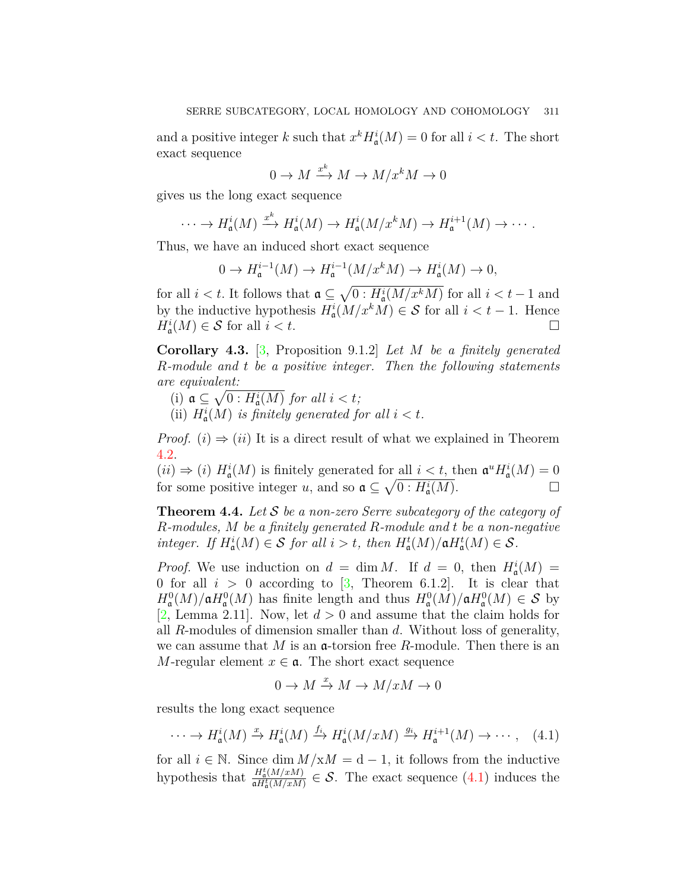and a positive integer *k* such that  $x^k H^i_{\mathfrak{a}}(M) = 0$  for all  $i < t$ . The short exact sequence

$$
0\to M\xrightarrow{x^k}M\to M/x^kM\to 0
$$

gives us the long exact sequence

$$
\cdots \to H^i_{\mathfrak{a}}(M) \xrightarrow{x^k} H^i_{\mathfrak{a}}(M) \to H^i_{\mathfrak{a}}(M/x^kM) \to H^{i+1}_{\mathfrak{a}}(M) \to \cdots.
$$

Thus, we have an induced short exact sequence

$$
0 \to H^{i-1}_{\mathfrak{a}}(M) \to H^{i-1}_{\mathfrak{a}}(M/x^kM) \to H^i_{\mathfrak{a}}(M) \to 0,
$$

for all  $i < t$ . It follows that  $\mathfrak{a} \subseteq \sqrt{0 : H_{\mathfrak{a}}^{i}(M/x^{k}M)}$  for all  $i < t - 1$  and by the inductive hypothesis  $H^i_{\mathfrak{a}}(M/x^kM) \in \mathcal{S}$  for all  $i < t - 1$ . Hence  $H^i_{\mathfrak{a}}(M) \in \mathcal{S}$  for all  $i < t$ .

**Corollary 4.3.** [[3,](#page-13-16) Proposition 9.1.2] *Let M be a finitely generated R-module and t be a positive integer. Then the following statements are equivalent:*

- (i)  $a \subseteq \sqrt{0: H_a^i(M)}$  *for all*  $i < t$ ;
- (ii)  $H^i_{\mathfrak{a}}(M)$  *is finitely generated for all*  $i < t$ *.*

*Proof.* (*i*)  $\Rightarrow$  (*ii*) It is a direct result of what we explained in Theorem [4.2](#page-9-1).

 $(ii) \Rightarrow (i) H^i_{\mathfrak{a}}(M)$  is finitely generated for all  $i < t$ , then  $\mathfrak{a}^u H^i_{\mathfrak{a}}(M) = 0$ for some positive integer *u*, and so  $\mathfrak{a} \subseteq \sqrt{0 : H_{\mathfrak{a}}^{i}(M)}$ .

**Theorem 4.4.** *Let S be a non-zero Serre subcategory of the category of R-modules, M be a finitely generated R-module and t be a non-negative integer. If*  $H_a^i(M) \in S$  *for all*  $i > t$ *, then*  $H_a^t(M)/\mathfrak{a}H_a^t(M) \in S$ *.* 

*Proof.* We use induction on  $d = \dim M$ . If  $d = 0$ , then  $H^i_{\mathfrak{a}}(M) =$ 0 for all  $i > 0$  according to [\[3,](#page-13-16) Theorem 6.1.2]. It is clear that  $H^0_{\mathfrak{a}}(M)/\mathfrak{a}H^0_{\mathfrak{a}}(M)$  has finite length and thus  $H^0_{\mathfrak{a}}(M)/\mathfrak{a}H^0_{\mathfrak{a}}(M) \in \mathcal{S}$  by [[2,](#page-13-7) Lemma 2.11]. Now, let  $d > 0$  and assume that the claim holds for all *R*-modules of dimension smaller than *d*. Without loss of generality, we can assume that *M* is an a-torsion free *R*-module. Then there is an *M*-regular element  $x \in \mathfrak{a}$ . The short exact sequence

<span id="page-10-0"></span>
$$
0 \to M \xrightarrow{x} M \to M/xM \to 0
$$

results the long exact sequence

$$
\cdots \to H_{\mathfrak{a}}^{i}(M) \xrightarrow{x} H_{\mathfrak{a}}^{i}(M) \xrightarrow{f_{i}} H_{\mathfrak{a}}^{i}(M/xM) \xrightarrow{g_{i}} H_{\mathfrak{a}}^{i+1}(M) \to \cdots,
$$
 (4.1)

for all  $i \in \mathbb{N}$ . Since dim  $M/xM = d-1$ , it follows from the inductive hypothesis that  $\frac{H_a^t(M/xM)}{aH^t(M/xM)}$  $\frac{H_6(M/xM)}{aH_6(M/xM)} \in \mathcal{S}$ . The exact sequence [\(4.1](#page-10-0)) induces the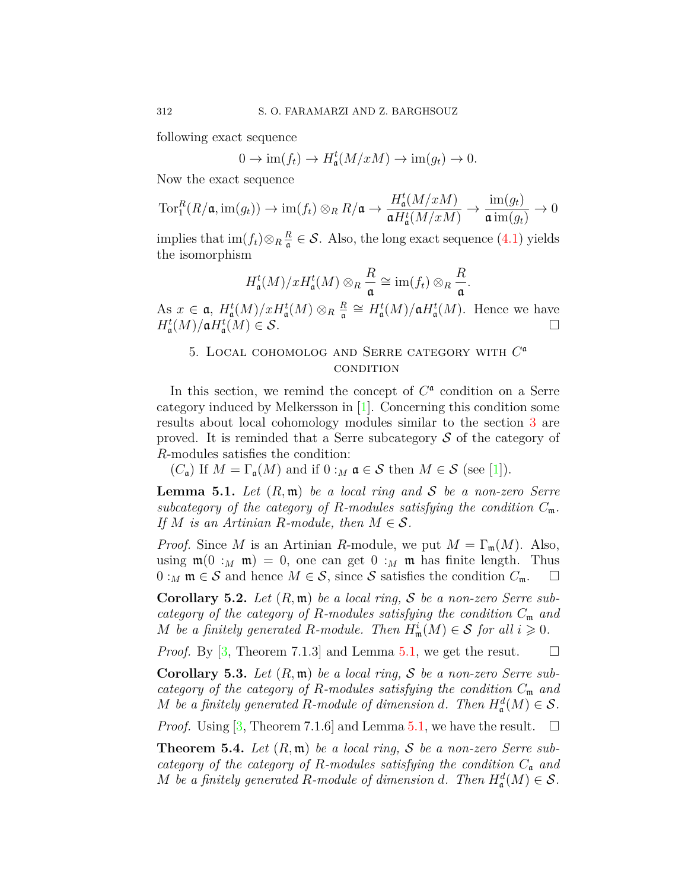following exact sequence

$$
0 \to \operatorname{im}(f_t) \to H^t_{\mathfrak{a}}(M/xM) \to \operatorname{im}(g_t) \to 0.
$$

Now the exact sequence

$$
\operatorname{Tor}_1^R(R/\mathfrak{a},\operatorname{im}(g_t)) \to \operatorname{im}(f_t) \otimes_R R/\mathfrak{a} \to \frac{H_{\mathfrak{a}}^t(M/xM)}{\mathfrak{a}H_{\mathfrak{a}}^t(M/xM)} \to \frac{\operatorname{im}(g_t)}{\mathfrak{a}\operatorname{im}(g_t)} \to 0
$$

implies that  $\text{im}(f_t) \otimes_R \frac{R}{q}$  $\frac{R}{a}$  ∈ S. Also, the long exact sequence (4.[1\)](#page-10-0) yields the isomorphism

$$
H_{\mathfrak{a}}^{t}(M)/xH_{\mathfrak{a}}^{t}(M)\otimes_{R}\frac{R}{\mathfrak{a}}\cong \text{im}(f_{t})\otimes_{R}\frac{R}{\mathfrak{a}}.
$$

As  $x \in \mathfrak{a}$ ,  $H_{\mathfrak{a}}^{t}(M)/xH_{\mathfrak{a}}^{t}(M) \otimes_{R} \frac{R}{\mathfrak{a}}$  $\frac{R}{\mathfrak{a}} \cong H_{\mathfrak{a}}^{\mathfrak{t}}(M)/\mathfrak{a}H_{\mathfrak{a}}^{\mathfrak{t}}(M)$ . Hence we have  $H^t_{\mathfrak{a}}(M)/\mathfrak{a}H^t_{\mathfrak{a}}(M) \in \mathcal{S}.$ 

# <span id="page-11-0"></span>5. Local cohomolog and Serre category with *C* a **CONDITION**

In this section, we remind the concept of  $C^{\mathfrak{a}}$  condition on a Serre category induced by Melkersson in[[1\]](#page-13-3). Concerning this condition some results about local cohomology modules similar to the section [3](#page-5-0) are proved. It is reminded that a Serre subcategory *S* of the category of *R*-modules satisfies the condition:

(*C*<sub>a</sub>) If  $M = \Gamma_a(M)$  and if  $0 : M \in S$  then  $M \in S$  (see [[1\]](#page-13-3)).

<span id="page-11-1"></span>**Lemma 5.1.** *Let* (*R,* m) *be a local ring and S be a non-zero Serre subcategory of the category of R-modules satisfying the condition*  $C_m$ . *If*  $M$  *is an Artinian R-module, then*  $M \in \mathcal{S}$ *.* 

*Proof.* Since *M* is an Artinian *R*-module, we put  $M = \Gamma_m(M)$ . Also, using  $\mathfrak{m}(0 :_M \mathfrak{m}) = 0$ , one can get  $0 :_M \mathfrak{m}$  has finite length. Thus  $0:_{M}$  m  $\in$  *S* and hence  $M \in S$ , since *S* satisfies the condition  $C_{\mathfrak{m}}$ . □

**Corollary 5.2.** *Let* (*R,* m) *be a local ring, S be a non-zero Serre subcategory of the category of R-modules satisfying the condition C*<sup>m</sup> *and M be a finitely generated R-module. Then*  $H^i_{\mathfrak{m}}(M) \in \mathcal{S}$  *for all*  $i \geq 0$ *.* 

*Proof.* By [[3,](#page-13-16) Theorem 7.1.3] and Lemma [5.1](#page-11-1), we get the resut.  $\square$ 

**Corollary 5.3.** *Let* (*R,* m) *be a local ring, S be a non-zero Serre subcategory of the category of R-modules satisfying the condition C*<sup>m</sup> *and M be a finitely generated R*-module of dimension *d*. Then  $H^d_{\mathfrak{a}}(M) \in \mathcal{S}$ .

*Proof.* Using [\[3](#page-13-16), Theorem 7.1.6] and Lemma [5.1,](#page-11-1) we have the result.  $\square$ 

**Theorem 5.4.** *Let* (*R,* m) *be a local ring, S be a non-zero Serre subcategory of the category of R-modules satisfying the condition C*<sup>a</sup> *and M be a finitely generated R-module of dimension d. Then*  $H_a^d(M) \in S$ *.*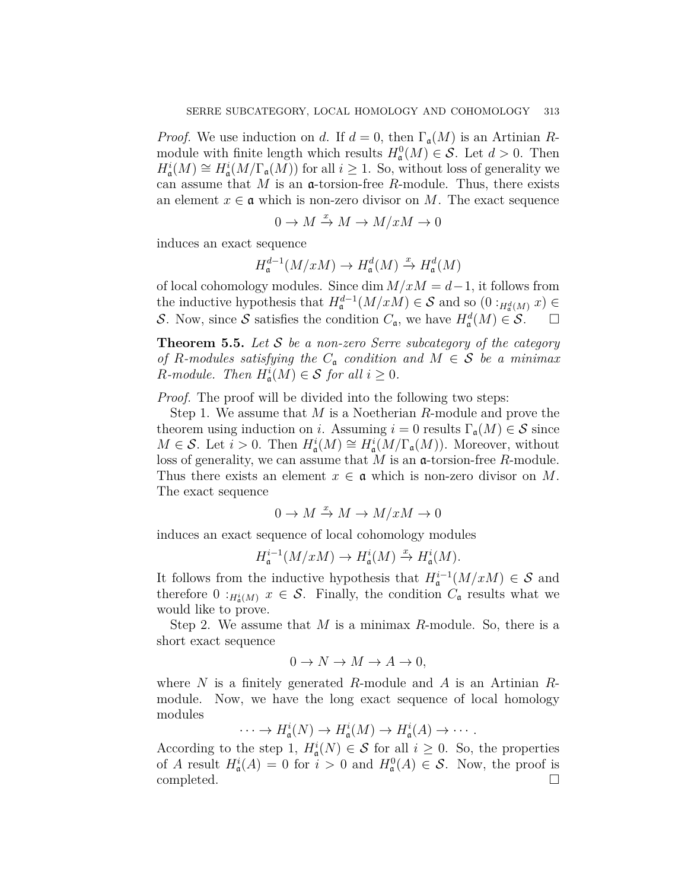*Proof.* We use induction on *d*. If  $d = 0$ , then  $\Gamma_a(M)$  is an Artinian *R*module with finite length which results  $H^0_\mathfrak{a}(M) \in \mathcal{S}$ . Let  $d > 0$ . Then  $H^i_{\mathfrak{a}}(M) \cong H^i_{\mathfrak{a}}(M/\Gamma_{\mathfrak{a}}(M))$  for all *i*  $\geq 1$ . So, without loss of generality we can assume that  $M$  is an  $\alpha$ -torsion-free  $R$ -module. Thus, there exists an element  $x \in \mathfrak{a}$  which is non-zero divisor on *M*. The exact sequence

$$
0 \to M \xrightarrow{x} M \to M/xM \to 0
$$

induces an exact sequence

$$
H^{d-1}_{\mathfrak{a}}(M/xM) \to H^{d}_{\mathfrak{a}}(M) \xrightarrow{x} H^{d}_{\mathfrak{a}}(M)
$$

of local cohomology modules. Since dim *M/xM* = *d−*1, it follows from the inductive hypothesis that  $H_{\mathfrak{a}}^{d-1}(M/xM) \in \mathcal{S}$  and so  $(0:_{H_{\mathfrak{a}}^d(M)} x) \in$ *S*. Now, since *S* satisfies the condition  $C_{\mathfrak{a}}$ , we have  $H_{\mathfrak{a}}^d(M) \in S$ .  $\Box$ 

<span id="page-12-0"></span>**Theorem 5.5.** *Let S be a non-zero Serre subcategory of the category of R*-modules satisfying the  $C_{\mathfrak{a}}$  *condition and*  $M \in \mathcal{S}$  *be a minimax R*-module. Then  $H^i_{\mathfrak{a}}(M) \in \mathcal{S}$  for all  $i \geq 0$ .

*Proof.* The proof will be divided into the following two steps:

Step 1. We assume that *M* is a Noetherian *R*-module and prove the theorem using induction on *i*. Assuming  $i = 0$  results  $\Gamma_{\mathfrak{a}}(M) \in \mathcal{S}$  since  $M \in \mathcal{S}$ . Let  $i > 0$ . Then  $H^i_{\mathfrak{a}}(M) \cong H^i_{\mathfrak{a}}(M/\Gamma_{\mathfrak{a}}(M))$ . Moreover, without loss of generality, we can assume that *M* is an a-torsion-free *R*-module. Thus there exists an element  $x \in \mathfrak{a}$  which is non-zero divisor on M. The exact sequence

$$
0 \to M \xrightarrow{x} M \to M/xM \to 0
$$

induces an exact sequence of local cohomology modules

$$
H^{i-1}_{\mathfrak{a}}(M/xM) \to H^{i}_{\mathfrak{a}}(M) \xrightarrow{x} H^{i}_{\mathfrak{a}}(M).
$$

It follows from the inductive hypothesis that  $H^{i-1}$ <sub>a</sub> $(M/xM) \in S$  and therefore  $0:_{H_{\mathfrak{a}}^{i}(M)} x \in \mathcal{S}$ . Finally, the condition  $C_{\mathfrak{a}}$  results what we would like to prove.

Step 2. We assume that *M* is a minimax *R*-module. So, there is a short exact sequence

$$
0 \to N \to M \to A \to 0,
$$

where *N* is a finitely generated *R*-module and *A* is an Artinian *R*module. Now, we have the long exact sequence of local homology modules

$$
\cdots \to H^i_{\mathfrak{a}}(N) \to H^i_{\mathfrak{a}}(M) \to H^i_{\mathfrak{a}}(A) \to \cdots.
$$

According to the step 1,  $H^i_{\mathfrak{a}}(N) \in \mathcal{S}$  for all  $i \geq 0$ . So, the properties of *A* result  $H^i_{\mathfrak{a}}(A) = 0$  for  $i > 0$  and  $H^0_{\mathfrak{a}}(A) \in \mathcal{S}$ . Now, the proof is completed. □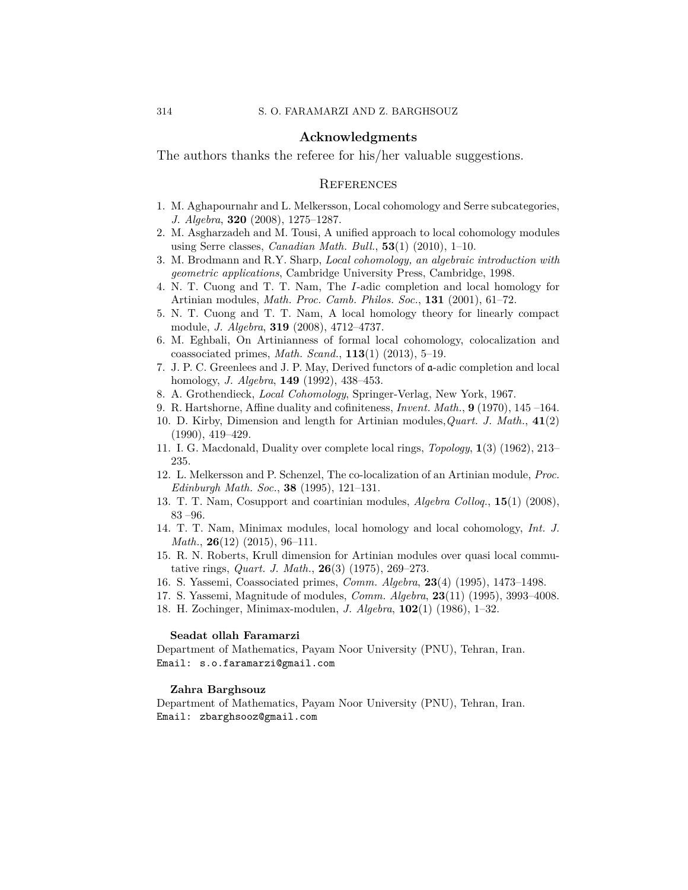### **Acknowledgments**

The authors thanks the referee for his/her valuable suggestions.

### **REFERENCES**

- <span id="page-13-3"></span>1. M. Aghapournahr and L. Melkersson, Local cohomology and Serre subcategories, *J. Algebra*, **320** (2008), 1275–1287.
- <span id="page-13-7"></span>2. M. Asgharzadeh and M. Tousi, A unified approach to local cohomology modules using Serre classes, *Canadian Math. Bull.*, **53**(1) (2010), 1–10.
- <span id="page-13-16"></span>3. M. Brodmann and R.Y. Sharp, *Local cohomology, an algebraic introduction with geometric applications*, Cambridge University Press, Cambridge, 1998.
- <span id="page-13-0"></span>4. N. T. Cuong and T. T. Nam, The *I*-adic completion and local homology for Artinian modules, *Math. Proc. Camb. Philos. Soc.*, **131** (2001), 61–72.
- <span id="page-13-6"></span>5. N. T. Cuong and T. T. Nam, A local homology theory for linearly compact module, *J. Algebra*, **319** (2008), 4712–4737.
- <span id="page-13-13"></span>6. M. Eghbali, On Artinianness of formal local cohomology, colocalization and coassociated primes, *Math. Scand.*, **113**(1) (2013), 5–19.
- <span id="page-13-1"></span>7. J. P. C. Greenlees and J. P. May, Derived functors of a-adic completion and local homology, *J. Algebra*, **149** (1992), 438–453.
- <span id="page-13-2"></span>8. A. Grothendieck, *Local Cohomology*, Springer-Verlag, New York, 1967.
- <span id="page-13-15"></span>9. R. Hartshorne, Affine duality and cofiniteness, *Invent. Math.*,  $9(1970)$ ,  $145-164$ .
- <span id="page-13-4"></span>10. D. Kirby, Dimension and length for Artinian modules,*Quart. J. Math.*, **41**(2) (1990), 419–429.
- <span id="page-13-8"></span>11. I. G. Macdonald, Duality over complete local rings, *Topology*, **1**(3) (1962), 213– 235.
- <span id="page-13-10"></span>12. L. Melkersson and P. Schenzel, The co-localization of an Artinian module, *Proc. Edinburgh Math. Soc.*, **38** (1995), 121–131.
- <span id="page-13-14"></span>13. T. T. Nam, Cosupport and coartinian modules, *Algebra Colloq.*, **15**(1) (2008),  $83 - 96.$
- <span id="page-13-11"></span>14. T. T. Nam, Minimax modules, local homology and local cohomology, *Int. J. Math.*, **26**(12) (2015), 96–111.
- <span id="page-13-5"></span>15. R. N. Roberts, Krull dimension for Artinian modules over quasi local commutative rings, *Quart. J. Math.*, **26**(3) (1975), 269–273.
- <span id="page-13-9"></span>16. S. Yassemi, Coassociated primes, *Comm. Algebra*, **23**(4) (1995), 1473–1498.
- <span id="page-13-12"></span>17. S. Yassemi, Magnitude of modules, *Comm. Algebra*, **23**(11) (1995), 3993–4008.
- 18. H. Zochinger, Minimax-modulen, *J. Algebra*, **102**(1) (1986), 1–32.

### **Seadat ollah Faramarzi**

Department of Mathematics, Payam Noor University (PNU), Tehran, Iran. Email: s.o.faramarzi@gmail.com

#### **Zahra Barghsouz**

Department of Mathematics, Payam Noor University (PNU), Tehran, Iran. Email: zbarghsooz@gmail.com